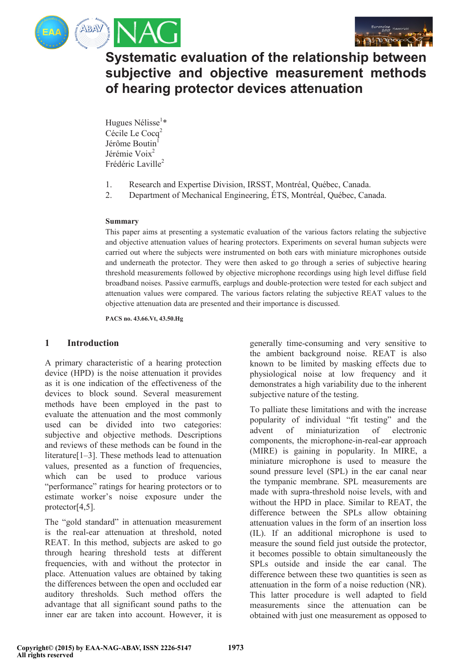



**Systematic evaluation of the relationship between subjective and objective measurement methods of hearing protector devices attenuation** 

Hugues Nélisse<sup>1\*</sup> Cécile Le Cocq<sup>2</sup> Jérôme Boutin Jérémie Voix<sup>2</sup> Frédéric Laville<sup>2</sup>

- 1. Research and Expertise Division, IRSST, Montréal, Québec, Canada.
- 2. Department of Mechanical Engineering, ÉTS, Montréal, Québec, Canada.

### **Summary**

This paper aims at presenting a systematic evaluation of the various factors relating the subjective and objective attenuation values of hearing protectors. Experiments on several human subjects were carried out where the subjects were instrumented on both ears with miniature microphones outside and underneath the protector. They were then asked to go through a series of subjective hearing threshold measurements followed by objective microphone recordings using high level diffuse field broadband noises. Passive earmuffs, earplugs and double-protection were tested for each subject and attenuation values were compared. The various factors relating the subjective REAT values to the objective attenuation data are presented and their importance is discussed.

**PACS no. 43.66.Vt, 43.50.Hg** 

## **1 Introduction**

A primary characteristic of a hearing protection device (HPD) is the noise attenuation it provides as it is one indication of the effectiveness of the devices to block sound. Several measurement methods have been employed in the past to evaluate the attenuation and the most commonly used can be divided into two categories: subjective and objective methods. Descriptions and reviews of these methods can be found in the literature[1–3]. These methods lead to attenuation values, presented as a function of frequencies, which can be used to produce various "performance" ratings for hearing protectors or to estimate worker's noise exposure under the protector[4,5].

The "gold standard" in attenuation measurement is the real-ear attenuation at threshold, noted REAT. In this method, subjects are asked to go through hearing threshold tests at different frequencies, with and without the protector in place. Attenuation values are obtained by taking the differences between the open and occluded ear auditory thresholds. Such method offers the advantage that all significant sound paths to the inner ear are taken into account. However, it is

generally time-consuming and very sensitive to the ambient background noise. REAT is also known to be limited by masking effects due to physiological noise at low frequency and it demonstrates a high variability due to the inherent subjective nature of the testing.

To palliate these limitations and with the increase popularity of individual "fit testing" and the advent of miniaturization of electronic components, the microphone-in-real-ear approach (MIRE) is gaining in popularity. In MIRE, a miniature microphone is used to measure the sound pressure level (SPL) in the ear canal near the tympanic membrane. SPL measurements are made with supra-threshold noise levels, with and without the HPD in place. Similar to REAT, the difference between the SPLs allow obtaining attenuation values in the form of an insertion loss (IL). If an additional microphone is used to measure the sound field just outside the protector, it becomes possible to obtain simultaneously the SPLs outside and inside the ear canal. The difference between these two quantities is seen as attenuation in the form of a noise reduction (NR). This latter procedure is well adapted to field measurements since the attenuation can be obtained with just one measurement as opposed to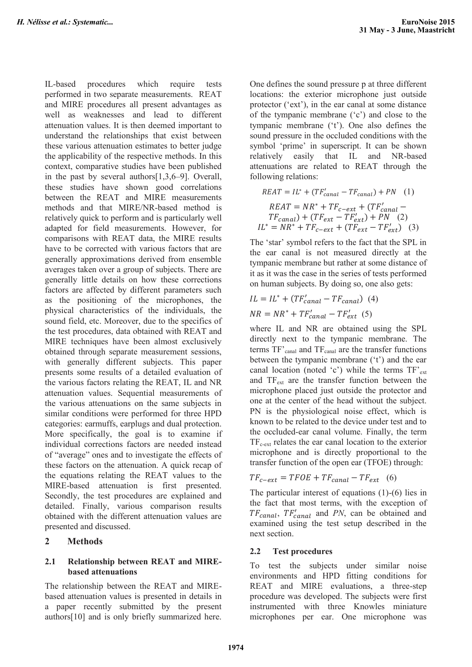IL-based procedures which require tests performed in two separate measurements. REAT and MIRE procedures all present advantages as well as weaknesses and lead to different attenuation values. It is then deemed important to understand the relationships that exist between these various attenuation estimates to better judge the applicability of the respective methods. In this context, comparative studies have been published in the past by several authors[1,3,6–9]. Overall, these studies have shown good correlations between the REAT and MIRE measurements methods and that MIRE/NR-based method is relatively quick to perform and is particularly well adapted for field measurements. However, for comparisons with REAT data, the MIRE results have to be corrected with various factors that are generally approximations derived from ensemble averages taken over a group of subjects. There are generally little details on how these corrections factors are affected by different parameters such as the positioning of the microphones, the physical characteristics of the individuals, the sound field, etc. Moreover, due to the specifics of the test procedures, data obtained with REAT and MIRE techniques have been almost exclusively obtained through separate measurement sessions, with generally different subjects. This paper presents some results of a detailed evaluation of the various factors relating the REAT, IL and NR attenuation values. Sequential measurements of the various attenuations on the same subjects in similar conditions were performed for three HPD categories: earmuffs, earplugs and dual protection. More specifically, the goal is to examine if individual corrections factors are needed instead of "average" ones and to investigate the effects of these factors on the attenuation. A quick recap of the equations relating the REAT values to the MIRE-based attenuation is first presented. Secondly, the test procedures are explained and detailed. Finally, various comparison results obtained with the different attenuation values are presented and discussed.

### **2 Methods**

### **2.1 Relationship between REAT and MIREbased attenuations**

The relationship between the REAT and MIREbased attenuation values is presented in details in a paper recently submitted by the present authors[10] and is only briefly summarized here.

One defines the sound pressure p at three different locations: the exterior microphone just outside protector ('ext'), in the ear canal at some distance of the tympanic membrane ('c') and close to the tympanic membrane ('t'). One also defines the sound pressure in the occluded conditions with the symbol 'prime' in superscript. It can be shown relatively easily that IL and NR-based attenuations are related to REAT through the following relations:

$$
REAT = IL^* + (TF'_{canal} - TF_{canal}) + PN \quad (1)
$$
\n
$$
REAT = NR^* + TF_{c-ext} + (TF'_{canal} - TF_{canal}) + (TF_{ext} - TF'_{ext}) + PN \quad (2)
$$
\n
$$
IL^* = NR^* + TF_{c-ext} + (TF_{ext} - TF'_{ext}) \quad (3)
$$

The 'star' symbol refers to the fact that the SPL in the ear canal is not measured directly at the tympanic membrane but rather at some distance of it as it was the case in the series of tests performed on human subjects. By doing so, one also gets:

$$
IL = IL^* + (TF'_{canal} - TF_{canal})
$$
 (4)  

$$
NR = NR^* + TF'_{canal} - TF'_{ext}
$$
 (5)

where IL and NR are obtained using the SPL directly next to the tympanic membrane. The terms  $TF'_{\text{canal}}$  and  $TF_{\text{canal}}$  are the transfer functions between the tympanic membrane ('t') and the ear canal location (noted 'c') while the terms  $TF'_{ext}$ and  $TF_{ext}$  are the transfer function between the microphone placed just outside the protector and one at the center of the head without the subject. PN is the physiological noise effect, which is known to be related to the device under test and to the occluded-ear canal volume. Finally, the term  $TF_{c-ext}$  relates the ear canal location to the exterior microphone and is directly proportional to the transfer function of the open ear (TFOE) through:

$$
TF_{c-ext} = TFOE + TF_{canal} - TF_{ext} \quad (6)
$$

The particular interest of equations (1)-(6) lies in the fact that most terms, with the exception of  $TF_{canal}$ ,  $TF'_{canal}$  and  $PN$ , can be obtained and examined using the test setup described in the next section.

### **2.2 Test procedures**

To test the subjects under similar noise environments and HPD fitting conditions for REAT and MIRE evaluations, a three-step procedure was developed. The subjects were first instrumented with three Knowles miniature microphones per ear. One microphone was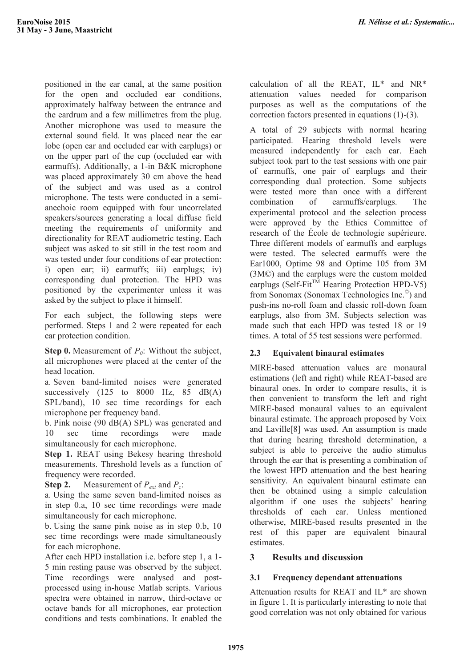positioned in the ear canal, at the same position for the open and occluded ear conditions, approximately halfway between the entrance and the eardrum and a few millimetres from the plug. Another microphone was used to measure the external sound field. It was placed near the ear lobe (open ear and occluded ear with earplugs) or on the upper part of the cup (occluded ear with earmuffs). Additionally, a 1-in B&K microphone was placed approximately 30 cm above the head of the subject and was used as a control microphone. The tests were conducted in a semianechoic room equipped with four uncorrelated speakers/sources generating a local diffuse field meeting the requirements of uniformity and directionality for REAT audiometric testing. Each subject was asked to sit still in the test room and was tested under four conditions of ear protection: i) open ear; ii) earmuffs; iii) earplugs; iv) corresponding dual protection. The HPD was positioned by the experimenter unless it was asked by the subject to place it himself.

For each subject, the following steps were performed. Steps 1 and 2 were repeated for each ear protection condition.

**Step 0.** Measurement of  $P_0$ : Without the subject, all microphones were placed at the center of the head location.

a. Seven band-limited noises were generated successively  $(125 \text{ to } 8000 \text{ Hz}, 85 \text{ dB}(A))$ SPL/band), 10 sec time recordings for each microphone per frequency band.

b. Pink noise (90 dB(A) SPL) was generated and 10 sec time recordings were made simultaneously for each microphone.

**Step 1.** REAT using Bekesy hearing threshold measurements. Threshold levels as a function of frequency were recorded.

**Step 2.** Measurement of  $P_{ext}$  and  $P_c$ :

a. Using the same seven band-limited noises as in step 0.a, 10 sec time recordings were made simultaneously for each microphone.

b. Using the same pink noise as in step 0.b, 10 sec time recordings were made simultaneously for each microphone.

After each HPD installation i.e. before step 1, a 1- 5 min resting pause was observed by the subject. Time recordings were analysed and postprocessed using in-house Matlab scripts. Various spectra were obtained in narrow, third-octave or octave bands for all microphones, ear protection conditions and tests combinations. It enabled the

calculation of all the REAT, IL\* and NR\* attenuation values needed for comparison purposes as well as the computations of the correction factors presented in equations (1)-(3).

A total of 29 subjects with normal hearing participated. Hearing threshold levels were measured independently for each ear. Each subject took part to the test sessions with one pair of earmuffs, one pair of earplugs and their corresponding dual protection. Some subjects were tested more than once with a different combination of earmuffs/earplugs. The experimental protocol and the selection process were approved by the Ethics Committee of research of the École de technologie supérieure. Three different models of earmuffs and earplugs were tested. The selected earmuffs were the Ear1000, Optime 98 and Optime 105 from 3M (3M©) and the earplugs were the custom molded earplugs (Self-Fit<sup>TM</sup> Hearing Protection HPD-V5) from Sonomax (Sonomax Technologies Inc.©) and push-ins no-roll foam and classic roll-down foam earplugs, also from 3M. Subjects selection was made such that each HPD was tested 18 or 19 times. A total of 55 test sessions were performed.

## **2.3 Equivalent binaural estimates**

MIRE-based attenuation values are monaural estimations (left and right) while REAT-based are binaural ones. In order to compare results, it is then convenient to transform the left and right MIRE-based monaural values to an equivalent binaural estimate. The approach proposed by Voix and Laville[8] was used. An assumption is made that during hearing threshold determination, a subject is able to perceive the audio stimulus through the ear that is presenting a combination of the lowest HPD attenuation and the best hearing sensitivity. An equivalent binaural estimate can then be obtained using a simple calculation algorithm if one uses the subjects' hearing thresholds of each ear. Unless mentioned otherwise, MIRE-based results presented in the rest of this paper are equivalent binaural **estimates** 

## **3 Results and discussion**

# **3.1 Frequency dependant attenuations**

Attenuation results for REAT and IL\* are shown in figure 1. It is particularly interesting to note that good correlation was not only obtained for various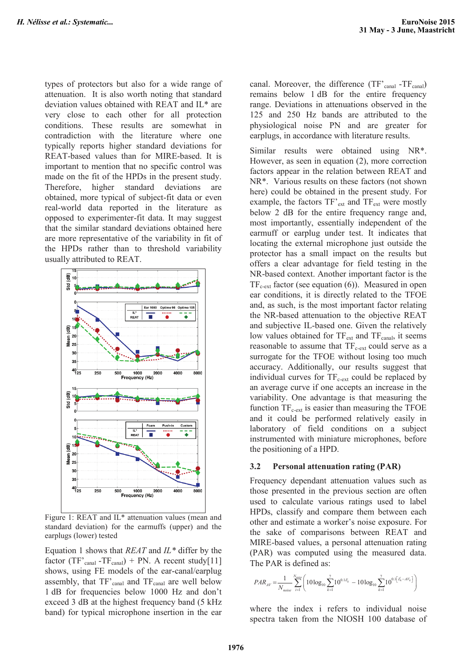types of protectors but also for a wide range of attenuation. It is also worth noting that standard deviation values obtained with REAT and IL\* are very close to each other for all protection conditions. These results are somewhat in contradiction with the literature where one typically reports higher standard deviations for REAT-based values than for MIRE-based. It is important to mention that no specific control was made on the fit of the HPDs in the present study. Therefore, higher standard deviations are obtained, more typical of subject-fit data or even real-world data reported in the literature as opposed to experimenter-fit data. It may suggest that the similar standard deviations obtained here are more representative of the variability in fit of the HPDs rather than to threshold variability usually attributed to REAT.



Figure 1: REAT and IL\* attenuation values (mean and standard deviation) for the earmuffs (upper) and the earplugs (lower) tested

Equation 1 shows that *REAT* and *IL\** differ by the factor (TF'<sub>canal</sub> -TF<sub>canal</sub>) + PN. A recent study[11] shows, using FE models of the ear-canal/earplug assembly, that  $TF'_{\text{canal}}$  and  $TF_{\text{canal}}$  are well below 1 dB for frequencies below 1000 Hz and don't exceed 3 dB at the highest frequency band (5 kHz band) for typical microphone insertion in the ear

canal. Moreover, the difference  $(TF'_{\text{canal}} - TF_{\text{canal}})$ remains below 1 dB for the entire frequency range. Deviations in attenuations observed in the 125 and 250 Hz bands are attributed to the physiological noise PN and are greater for earplugs, in accordance with literature results.

Similar results were obtained using NR\*. However, as seen in equation (2), more correction factors appear in the relation between REAT and NR\*. Various results on these factors (not shown here) could be obtained in the present study. For example, the factors  $TF'_{ext}$  and  $TF_{ext}$  were mostly below 2 dB for the entire frequency range and, most importantly, essentially independent of the earmuff or earplug under test. It indicates that locating the external microphone just outside the protector has a small impact on the results but offers a clear advantage for field testing in the NR-based context. Another important factor is the  $TF_{c-ext}$  factor (see equation (6)). Measured in open ear conditions, it is directly related to the TFOE and, as such, is the most important factor relating the NR-based attenuation to the objective REAT and subjective IL-based one. Given the relatively low values obtained for  $TF_{ext}$  and  $TF_{canal}$ , it seems reasonable to assume that  $TF_{c-ext}$  could serve as a surrogate for the TFOE without losing too much accuracy. Additionally, our results suggest that individual curves for  $TF_{c-ext}$  could be replaced by an average curve if one accepts an increase in the variability. One advantage is that measuring the function  $TF_{c-ext}$  is easier than measuring the TFOE and it could be performed relatively easily in laboratory of field conditions on a subject instrumented with miniature microphones, before the positioning of a HPD.

#### **3.2 Personal attenuation rating (PAR)**

Frequency dependant attenuation values such as those presented in the previous section are often used to calculate various ratings used to label HPDs, classify and compare them between each other and estimate a worker's noise exposure. For the sake of comparisons between REAT and MIRE-based values, a personal attenuation rating (PAR) was computed using the measured data. The PAR is defined as:

$$
PAR_{AV} = \frac{1}{N_{noise}} \sum_{i=1}^{N_{noise}} \left(10\log_{10}\sum_{k=1}^{7} 10^{0.1I_{k}^{i}} - 10\log_{10}\sum_{k=1}^{7} 10^{0.1\left[\frac{I_{k}^{i} - AV_{k}}{2}\right]}\right)
$$

where the index i refers to individual noise spectra taken from the NIOSH 100 database of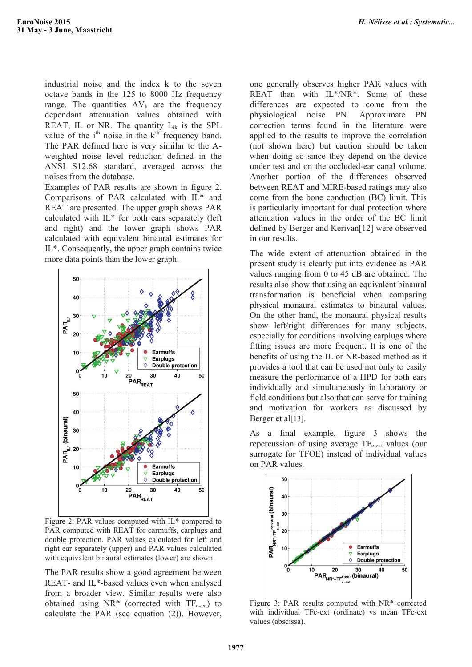industrial noise and the index k to the seven octave bands in the 125 to 8000 Hz frequency range. The quantities  $AV_k$  are the frequency dependant attenuation values obtained with REAT, IL or NR. The quantity  $L_{ik}$  is the SPL value of the  $i<sup>th</sup>$  noise in the  $k<sup>th</sup>$  frequency band. The PAR defined here is very similar to the Aweighted noise level reduction defined in the ANSI S12.68 standard, averaged across the noises from the database.

Examples of PAR results are shown in figure 2. Comparisons of PAR calculated with IL\* and REAT are presented. The upper graph shows PAR calculated with IL\* for both ears separately (left and right) and the lower graph shows PAR calculated with equivalent binaural estimates for IL\*. Consequently, the upper graph contains twice more data points than the lower graph.



Figure 2: PAR values computed with IL\* compared to PAR computed with REAT for earmuffs, earplugs and double protection. PAR values calculated for left and right ear separately (upper) and PAR values calculated with equivalent binaural estimates (lower) are shown.

The PAR results show a good agreement between REAT- and IL\*-based values even when analysed from a broader view. Similar results were also obtained using  $NR^*$  (corrected with  $TF_{c-ext}$ ) to calculate the PAR (see equation (2)). However,

one generally observes higher PAR values with REAT than with IL\*/NR\*. Some of these differences are expected to come from the physiological noise PN. Approximate PN correction terms found in the literature were applied to the results to improve the correlation (not shown here) but caution should be taken when doing so since they depend on the device under test and on the occluded-ear canal volume. Another portion of the differences observed between REAT and MIRE-based ratings may also come from the bone conduction (BC) limit. This is particularly important for dual protection where attenuation values in the order of the BC limit defined by Berger and Kerivan[12] were observed in our results.

The wide extent of attenuation obtained in the present study is clearly put into evidence as PAR values ranging from 0 to 45 dB are obtained. The results also show that using an equivalent binaural transformation is beneficial when comparing physical monaural estimates to binaural values. On the other hand, the monaural physical results show left/right differences for many subjects, especially for conditions involving earplugs where fitting issues are more frequent. It is one of the benefits of using the IL or NR-based method as it provides a tool that can be used not only to easily measure the performance of a HPD for both ears individually and simultaneously in laboratory or field conditions but also that can serve for training and motivation for workers as discussed by Berger et al[13].

As a final example, figure 3 shows the repercussion of using average  $TF_{c-ext}$  values (our surrogate for TFOE) instead of individual values on PAR values.



Figure 3: PAR results computed with NR\* corrected with individual TFc-ext (ordinate) vs mean TFc-ext values (abscissa).